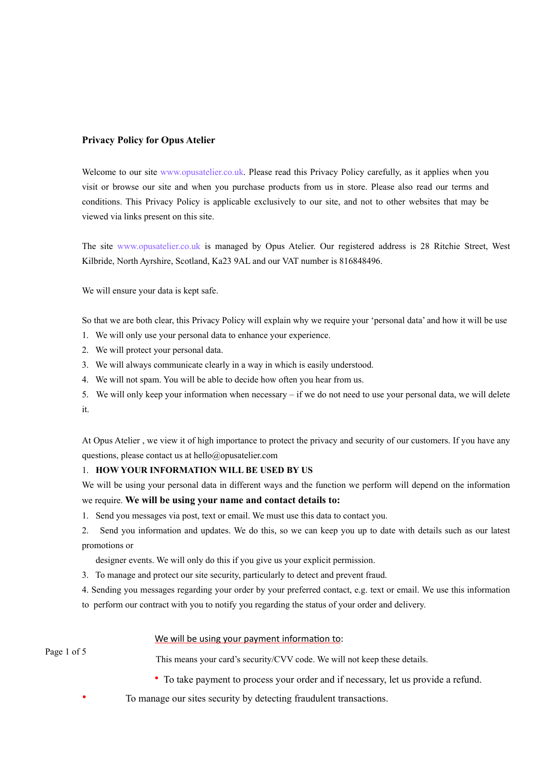## **Privacy Policy for Opus Atelier**

Welcome to our site www.opusatelier.co.uk. Please read this Privacy Policy carefully, as it applies when you visit or browse our site and when you purchase products from us in store. Please also read our terms and conditions. This Privacy Policy is applicable exclusively to our site, and not to other websites that may be viewed via links present on this site.

The site www.opusatelier.co.uk is managed by Opus Atelier. Our registered address is 28 Ritchie Street, West Kilbride, North Ayrshire, Scotland, Ka23 9AL and our VAT number is 816848496.

We will ensure your data is kept safe.

So that we are both clear, this Privacy Policy will explain why we require your 'personal data' and how it will be use

- 1. We will only use your personal data to enhance your experience.
- 2. We will protect your personal data.
- 3. We will always communicate clearly in a way in which is easily understood.
- 4. We will not spam. You will be able to decide how often you hear from us.
- 5. We will only keep your information when necessary if we do not need to use your personal data, we will delete it.

At Opus Atelier , we view it of high importance to protect the privacy and security of our customers. If you have any questions, please contact us at hello@opusatelier.com

#### 1. **HOW YOUR INFORMATION WILL BE USED BY US**

We will be using your personal data in different ways and the function we perform will depend on the information we require. **We will be using your name and contact details to:**

1.Send you messages via post, text or email. We must use this data to contact you.

2. Send you information and updates. We do this, so we can keep you up to date with details such as our latest promotions or

designer events. We will only do this if you give us your explicit permission.

3. To manage and protect our site security, particularly to detect and prevent fraud.

4. Sending you messages regarding your order by your preferred contact, e.g. text or email. We use this information to perform our contract with you to notify you regarding the status of your order and delivery.

## We will be using your payment information to:

Page 1 of 5

This means your card's security/CVV code. We will not keep these details.

- To take payment to process your order and if necessary, let us provide a refund.
- To manage our sites security by detecting fraudulent transactions.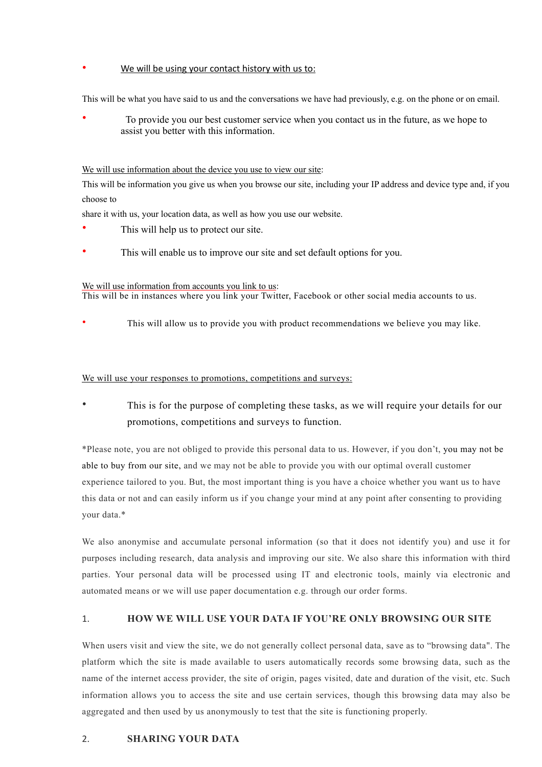## We will be using your contact history with us to:

This will be what you have said to us and the conversations we have had previously, e.g. on the phone or on email.

• To provide you our best customer service when you contact us in the future, as we hope to assist you better with this information.

## We will use information about the device you use to view our site:

This will be information you give us when you browse our site, including your IP address and device type and, if you choose to

share it with us, your location data, as well as how you use our website.

- This will help us to protect our site.
- This will enable us to improve our site and set default options for you.

## We will use information from accounts you link to us:

This will be in instances where you link your Twitter, Facebook or other social media accounts to us.

• This will allow us to provide you with product recommendations we believe you may like.

## We will use your responses to promotions, competitions and surveys:

This is for the purpose of completing these tasks, as we will require your details for our promotions, competitions and surveys to function.

\*Please note, you are not obliged to provide this personal data to us. However, if you don't, you may not be able to buy from our site, and we may not be able to provide you with our optimal overall customer experience tailored to you. But, the most important thing is you have a choice whether you want us to have this data or not and can easily inform us if you change your mind at any point after consenting to providing your data.\*

We also anonymise and accumulate personal information (so that it does not identify you) and use it for purposes including research, data analysis and improving our site. We also share this information with third parties. Your personal data will be processed using IT and electronic tools, mainly via electronic and automated means or we will use paper documentation e.g. through our order forms.

# 1. **HOW WE WILL USE YOUR DATA IF YOU'RE ONLY BROWSING OUR SITE**

When users visit and view the site, we do not generally collect personal data, save as to "browsing data". The platform which the site is made available to users automatically records some browsing data, such as the name of the internet access provider, the site of origin, pages visited, date and duration of the visit, etc. Such information allows you to access the site and use certain services, though this browsing data may also be aggregated and then used by us anonymously to test that the site is functioning properly.

# 2. **SHARING YOUR DATA**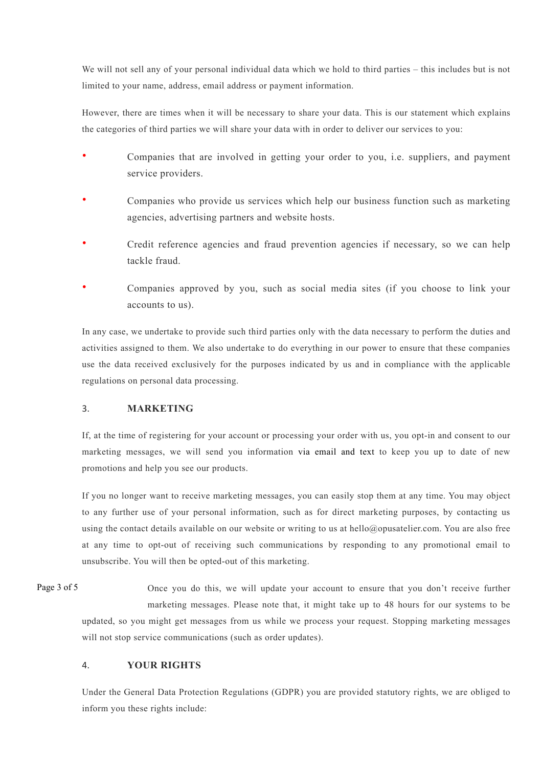We will not sell any of your personal individual data which we hold to third parties – this includes but is not limited to your name, address, email address or payment information.

However, there are times when it will be necessary to share your data. This is our statement which explains the categories of third parties we will share your data with in order to deliver our services to you:

- Companies that are involved in getting your order to you, i.e. suppliers, and payment service providers.
- Companies who provide us services which help our business function such as marketing agencies, advertising partners and website hosts.
- Credit reference agencies and fraud prevention agencies if necessary, so we can help tackle fraud.
- Companies approved by you, such as social media sites (if you choose to link your accounts to us).

In any case, we undertake to provide such third parties only with the data necessary to perform the duties and activities assigned to them. We also undertake to do everything in our power to ensure that these companies use the data received exclusively for the purposes indicated by us and in compliance with the applicable regulations on personal data processing.

# 3. **MARKETING**

If, at the time of registering for your account or processing your order with us, you opt-in and consent to our marketing messages, we will send you information via email and text to keep you up to date of new promotions and help you see our products.

If you no longer want to receive marketing messages, you can easily stop them at any time. You may object to any further use of your personal information, such as for direct marketing purposes, by contacting us using the contact details available on our website or writing to us at hello@opusatelier.com. You are also free at any time to opt-out of receiving such communications by responding to any promotional email to unsubscribe. You will then be opted-out of this marketing.

Once you do this, we will update your account to ensure that you don't receive further marketing messages. Please note that, it might take up to 48 hours for our systems to be updated, so you might get messages from us while we process your request. Stopping marketing messages will not stop service communications (such as order updates). Page 3 of 5

# 4. **YOUR RIGHTS**

Under the General Data Protection Regulations (GDPR) you are provided statutory rights, we are obliged to inform you these rights include: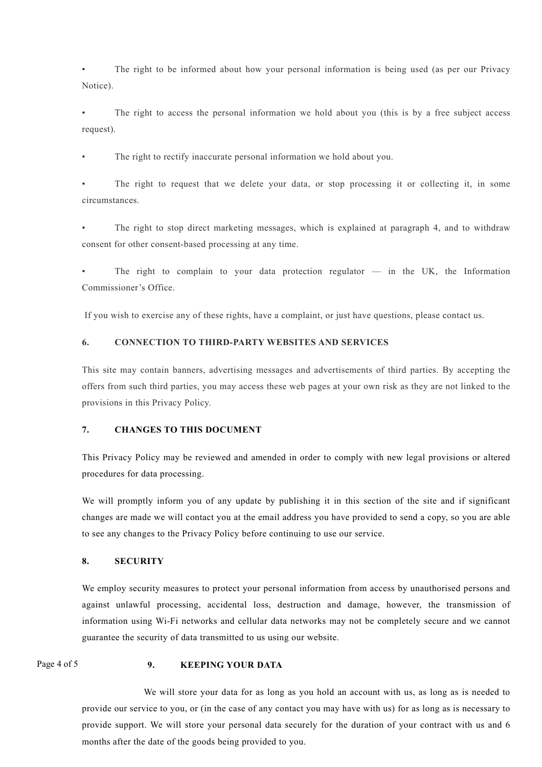• The right to be informed about how your personal information is being used (as per our Privacy Notice).

The right to access the personal information we hold about you (this is by a free subject access request).

The right to rectify inaccurate personal information we hold about you.

The right to request that we delete your data, or stop processing it or collecting it, in some circumstances.

The right to stop direct marketing messages, which is explained at paragraph 4, and to withdraw consent for other consent-based processing at any time.

The right to complain to your data protection regulator  $-$  in the UK, the Information Commissioner's Office.

If you wish to exercise any of these rights, have a complaint, or just have questions, please contact us.

## **6. CONNECTION TO THIRD-PARTY WEBSITES AND SERVICES**

This site may contain banners, advertising messages and advertisements of third parties. By accepting the offers from such third parties, you may access these web pages at your own risk as they are not linked to the provisions in this Privacy Policy.

## **7. CHANGES TO THIS DOCUMENT**

This Privacy Policy may be reviewed and amended in order to comply with new legal provisions or altered procedures for data processing.

We will promptly inform you of any update by publishing it in this section of the site and if significant changes are made we will contact you at the email address you have provided to send a copy, so you are able to see any changes to the Privacy Policy before continuing to use our service.

## **8. SECURITY**

We employ security measures to protect your personal information from access by unauthorised persons and against unlawful processing, accidental loss, destruction and damage, however, the transmission of information using Wi-Fi networks and cellular data networks may not be completely secure and we cannot guarantee the security of data transmitted to us using our website.

Page 4 of 5

#### **9. KEEPING YOUR DATA**

We will store your data for as long as you hold an account with us, as long as is needed to provide our service to you, or (in the case of any contact you may have with us) for as long as is necessary to provide support. We will store your personal data securely for the duration of your contract with us and 6 months after the date of the goods being provided to you.